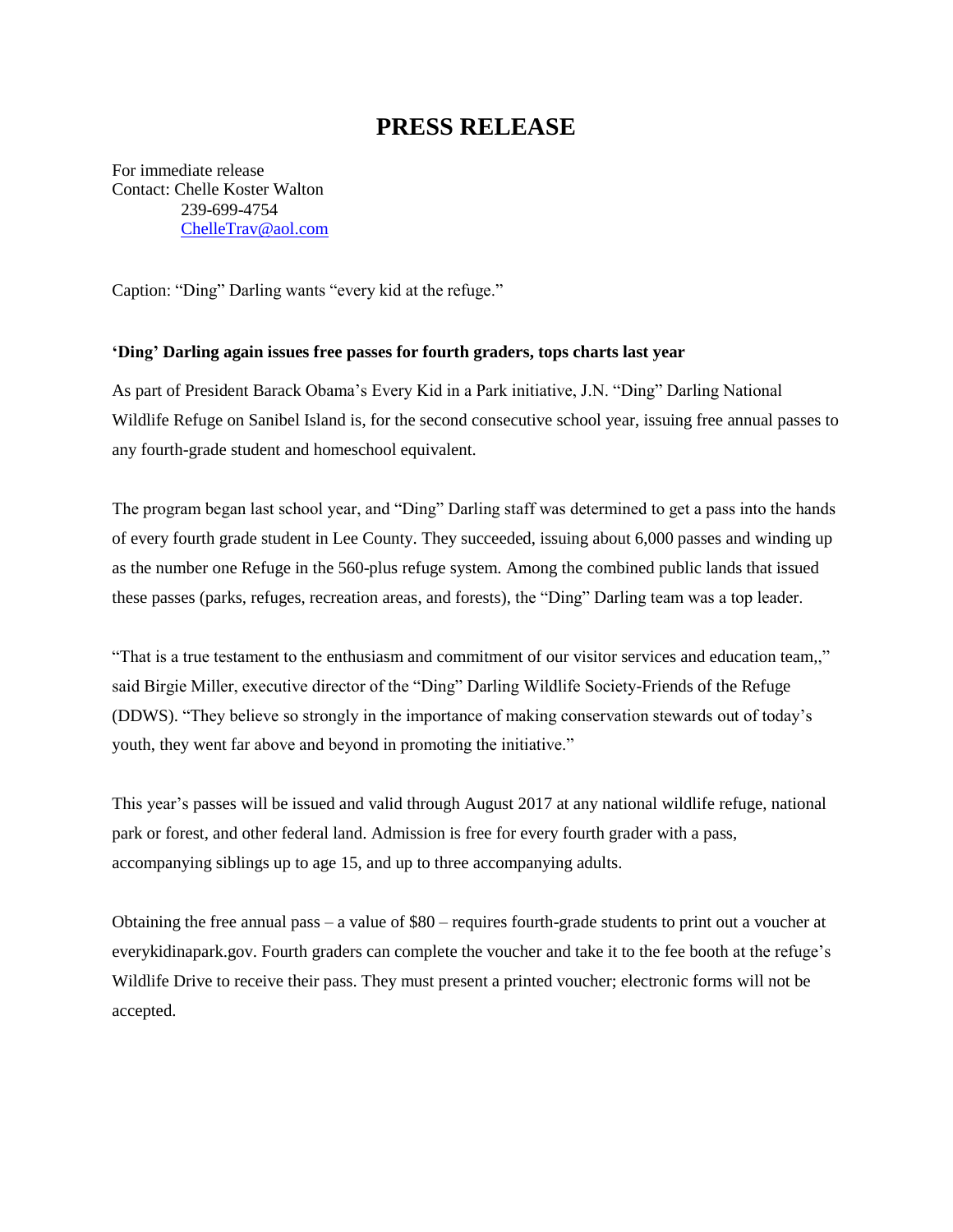## **PRESS RELEASE**

For immediate release Contact: Chelle Koster Walton 239-699-4754 [ChelleTrav@aol.com](mailto:ChelleTrav@aol.com)

Caption: "Ding" Darling wants "every kid at the refuge."

## **'Ding' Darling again issues free passes for fourth graders, tops charts last year**

As part of President Barack Obama's Every Kid in a Park initiative, J.N. "Ding" Darling National Wildlife Refuge on Sanibel Island is, for the second consecutive school year, issuing free annual passes to any fourth-grade student and homeschool equivalent.

The program began last school year, and "Ding" Darling staff was determined to get a pass into the hands of every fourth grade student in Lee County. They succeeded, issuing about 6,000 passes and winding up as the number one Refuge in the 560-plus refuge system. Among the combined public lands that issued these passes (parks, refuges, recreation areas, and forests), the "Ding" Darling team was a top leader.

"That is a true testament to the enthusiasm and commitment of our visitor services and education team,," said Birgie Miller, executive director of the "Ding" Darling Wildlife Society-Friends of the Refuge (DDWS). "They believe so strongly in the importance of making conservation stewards out of today's youth, they went far above and beyond in promoting the initiative."

This year's passes will be issued and valid through August 2017 at any national wildlife refuge, national park or forest, and other federal land. Admission is free for every fourth grader with a pass, accompanying siblings up to age 15, and up to three accompanying adults.

Obtaining the free annual pass – a value of \$80 – requires fourth-grade students to print out a voucher at everykidinapark.gov. Fourth graders can complete the voucher and take it to the fee booth at the refuge's Wildlife Drive to receive their pass. They must present a printed voucher; electronic forms will not be accepted.